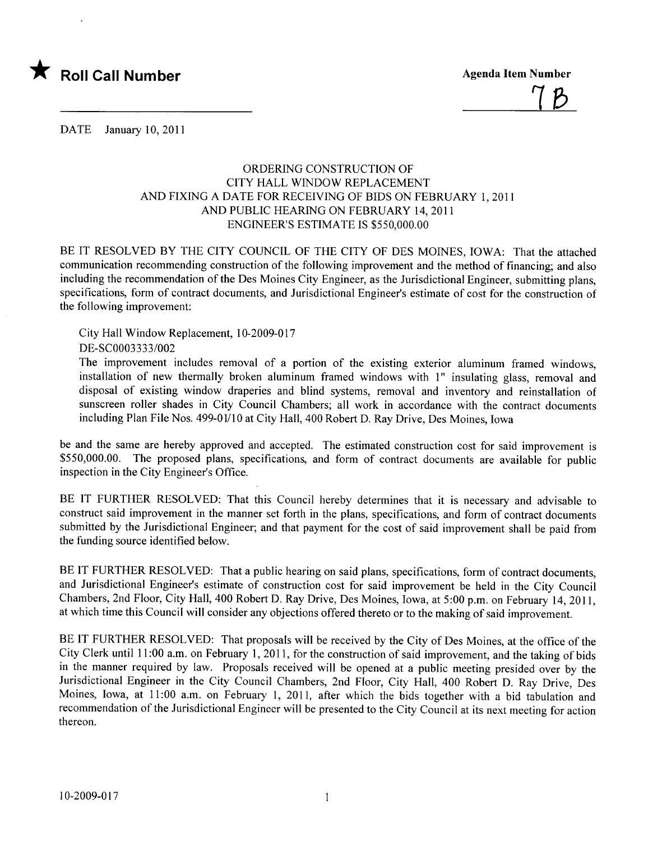

<u>7B</u>

DATE January 10, 2011

## ORDERING CONSTRUCTION OF CITY HALL WINDOW REPLACEMENT AND FIXING A DATE FOR RECEIVING OF BIDS ON FEBRUARY 1,2011 AND PUBLIC HEARING ON FEBRUARY 14, 2011 ENGINEER'S ESTIMATE IS \$550,000.00

BE IT RESOLVED BY THE CITY COUNCIL OF THE CITY OF DES MOINES, IOWA: That the attached communication recommending construction of the following improvement and the method of financing; and also including the recommendation of the Des Moines City Engineer, as the Jurisdictional Engineer, submitting plans, specifications, form of contract documents, and Jurisdictional Engineer's estimate of cost for the construction of the following improvement:

City Hall Window Replacement, 10-2009-017

DE-SC0003333/002

The improvement includes removal of a portion of the existing exterior aluminum framed windows, installation of new thermally broken aluminum framed windows with 1" insulating glass, removal and disposal of existing window draperies and blind systems, removal and inventory and reinstallation of sunscreen roller shades in City Council Chambers; all work in accordance with the contract documents including Plan File Nos. 499-01/10 at City Hall, 400 Robert D. Ray Drive, Des Moines, Iowa

be and the same are hereby approved and accepted. The estimated construction cost for said improvement is \$550,000.00. The proposed plans, specifications, and form of contract documents are available for public inspection in the City Engineer's Office.

BE IT FURTHER RESOLVED: That this Council hereby determines that it is necessary and advisable to construct said improvement in the manner set forth in the plans, specifications, and form of contract documents submitted by the Jurisdictional Engineer; and that payment for the cost of said improvement shall be paid from the funding source identified below.

BE IT FURTHER RESOLVED: That a public hearing on said plans, specifications, form of contract documents, and Jurisdictional Engineer's estimate of construction cost for said improvement be held in the City Council Chambers, 2nd Floor, City Hall, 400 Robert D. Ray Drive, Des Moines, Iowa, at 5:00 p.m. on February 14,2011, at which time this Council will consider any objections offered thereto or to the making of said improvement.

BE IT FURTHER RESOLVED: That proposals will be received by the City of Des Moines, at the office of the City Clerk until 11 :00 a.m. on February 1, 2011, for the construction of said improvement, and the taking of bids in the manner required by law. Proposals received will be opened at a public meeting presided over by the Jurisdictional Engineer in the City Council Chambers, 2nd Floor, City Hall, 400 Robert D. Ray Drive, Des Moines, Iowa, at 11:00 a.m. on February 1, 2011, after which the bids together with a bid tabulation and recommendation of the Jurisdictional Engineer will be presented to the City Council at its next meeting for action thereon.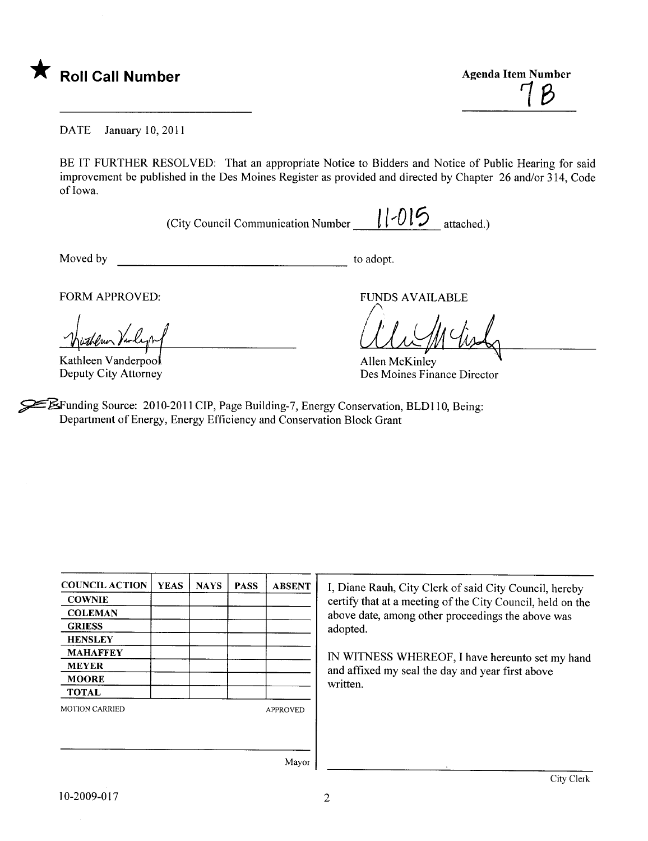

1B

DATE January 10, 2011

BE IT FURTHER RESOLVED: That an appropriate Notice to Bidders and Notice of Public Hearing for said improvement be published in the Des Moines Register as provided and directed by Chapter 26 and/or 314, Code of Iowa.

(City Council Communication Number  $\|1-0\|$  attached.)

Moved by to adopt.

With Merchan Varlight Architecture Contract March 1994

FORM APPROVED: FUNDS AVAILABLE

When tisk

Deputy City Attorney Des Moines Finance Director

~unding Source: 2010-2011 CIP, Page Building-7, Energy Conservation, BLD110, Being: Department of Energy, Energy Efficiency and Conservation Block Grant

| <b>COUNCIL ACTION</b> | <b>YEAS</b> | <b>NAYS</b> | <b>PASS</b> | <b>ABSENT</b>   |
|-----------------------|-------------|-------------|-------------|-----------------|
| <b>COWNIE</b>         |             |             |             |                 |
| <b>COLEMAN</b>        |             |             |             |                 |
| <b>GRIESS</b>         |             |             |             |                 |
| <b>HENSLEY</b>        |             |             |             |                 |
| <b>MAHAFFEY</b>       |             |             |             |                 |
| <b>MEYER</b>          |             |             |             |                 |
| <b>MOORE</b>          |             |             |             |                 |
| <b>TOTAL</b>          |             |             |             |                 |
| <b>MOTION CARRIED</b> |             |             |             | <b>APPROVED</b> |
|                       |             |             |             |                 |
|                       |             |             |             |                 |
|                       |             |             |             | $\sim$          |

I, Diane Rauh, City Clerk of said City Council, hereby certify that at a meeting of the City Council, held on the above date, among other proceedings the above was adopted.

IN WITNESS WHEREOF, I have hereunto set my hand and affxed my seal the day and year first above written.

Mayor